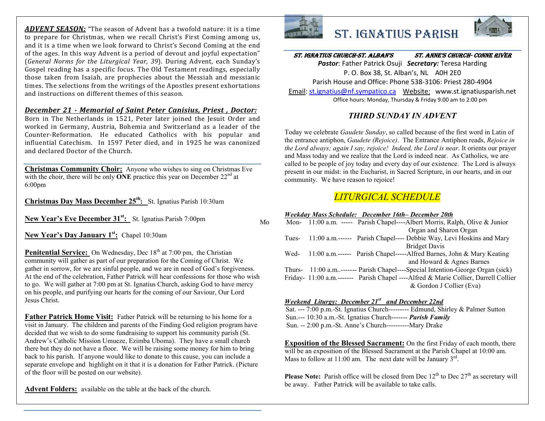*ADVENT SEASON:* "The season of Advent has a twofold nature: it is a time to prepare for Christmas, when we recall Christ's First Coming among us, and it is a time when we look forward to Christ's Second Coming at the end of the ages. In this way Advent is a period of devout and joyful expectation" (*General Norms for the Liturgical Year, 39*). During Advent, each Sunday's Gospel reading has a specific focus. The Old Testament readings, especially those taken from Isaiah, are prophecies about the Messiah and messianic times. The selections from the writings of the Apostles present exhortations and instructions on different themes of this season.

#### *December 21 - Memorial of Saint Peter Canisius, Priest , Doctor:*

Born in The Netherlands in 1521, Peter later joined the Jesuit Order and worked in Germany, Austria, Bohemia and Switzerland as a leader of the Counter-Reformation. He educated Catholics with his popular and influential Catechism. In 1597 Peter died, and in 1925 he was canonized and declared Doctor of the Church.

**Christmas Community Choir:** Anyone who wishes to sing on Christmas Eve with the choir, there will be only **ONE** practice this year on December 22<sup>nd</sup> at 6:00pm

**Christmas Day Mass December 25th :** St. Ignatius Parish 10:30am

**New Year's Eve December 31st:** St. Ignatius Parish 7:00pm

**New Year's Day January 1st:** Chapel 10:30am

**Penitential Service:** On Wednesday, Dec 18<sup>th</sup> at 7:00 pm, the Christian community will gather as part of our preparation for the Coming of Christ. We gather in sorrow, for we are sinful people, and we are in need of God's forgiveness. At the end of the celebration, Father Patrick will hear confessions for those who wish to go. We will gather at 7:00 pm at St. Ignatius Church, asking God to have mercy on his people, and purifying our hearts for the coming of our Saviour, Our Lord Jesus Christ.

**Father Patrick Home Visit:** Father Patrick will be returning to his home for a visit in January. The children and parents of the Finding God religion program have decided that we wish to do some fundraising to support his community parish (St. Andrew's Catholic Mission Umueze, Ezimba Uboma). They have a small church there but they do not have a floor. We will be raising some money for him to bring back to his parish. If anyone would like to donate to this cause, you can include a separate envelope and highlight on it that it is a donation for Father Patrick. (Picture of the floor will be posted on our website).

**Advent Folders:** available on the table at the back of the church.



# St. IgnatIuS ParISh



## St. IgnatIuS ChurCh-St. alban'S St. anne'S ChurCh- Conne rIver

*Pastor*: Father Patrick Osuji *Secretary:* Teresa Harding P. O. Box 38, St. Alban's, NL A0H 2E0 Parish House and Office: Phone 538-3106: Priest 280-4904 Email: st.ignatius@nf.sympatico.ca Website: www.st.ignatiusparish.net Office hours: Monday, Thursday & Friday 9:00 am to 2:00 pm

### *THIRD SUNDAY IN ADVENT*

Today we celebrate *Gaudete Sunday*, so called because of the first word in Latin of the entrance antiphon, *Gaudete (Rejoice)*. The Entrance Antiphon reads, *Rejoice in the Lord always; again I say, rejoice! Indeed, the Lord is near*. It orients our prayer and Mass today and we realize that the Lord is indeed near. As Catholics, we are called to be people of joy today and every day of our existence. The Lord is always present in our midst: in the Eucharist, in Sacred Scripture, in our hearts, and in our community. We have reason to rejoice!

## *LITURGICAL SCHEDULE*

#### *Weekday Mass Schedule: December 16th– December 20th*

| Mo |        | Mon- 11:00 a.m. ----- Parish Chapel----Albert Morris, Ralph, Olive & Junior         |
|----|--------|-------------------------------------------------------------------------------------|
|    |        | Organ and Sharon Organ                                                              |
|    | Tues-  | 11:00 a.m.------ Parish Chapel---- Debbie Way, Levi Hoskins and Mary                |
|    |        | <b>Bridget Davis</b>                                                                |
|    | Wed-   | 11:00 a.m.------ Parish Chapel-----Alfred Barnes, John & Mary Keating               |
|    |        | and Howard & Agnes Barnes                                                           |
|    | Thurs- | 11:00 a.m------- Parish Chapel----Special Intention-George Organ (sick)             |
|    |        | Friday- 11:00 a.m.------- Parish Chapel ----Alfred & Marie Collier, Darrell Collier |
|    |        | & Gordon J Collier (Eva)                                                            |

#### *Weekend Liturgy: December 21st and December 22nd*

Sat. --- 7:00 p.m.-St. Ignatius Church--------- Edmund, Shirley & Palmer Sutton Sun.--- 10:30 a.m.-St. Ignatius Church------- *Parish Family* Sun. -- 2:00 p.m.-St. Anne's Church----------Mary Drake

**Exposition of the Blessed Sacrament:** On the first Friday of each month, there will be an exposition of the Blessed Sacrament at the Parish Chapel at 10:00 am. Mass to follow at 11:00 am. The next date will be January  $3<sup>rd</sup>$ .

**Please Note:** Parish office will be closed from Dec  $12<sup>th</sup>$  to Dec  $27<sup>th</sup>$  as secretary will be away. Father Patrick will be available to take calls.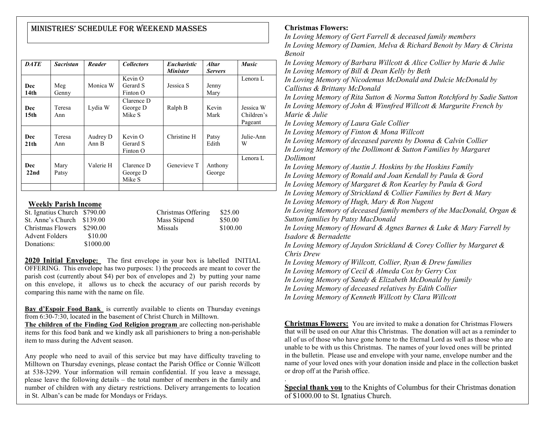## MInIStrIeS' Schedule for Weekend MaSSeS

| <b>DATE</b>             | <b>Sacristan</b> | Reader            | <b>Collectors</b>                 | <b>Eucharistic</b><br><b>Minister</b> | <b>Altar</b><br><b>Servers</b> | <b>Music</b>                       |
|-------------------------|------------------|-------------------|-----------------------------------|---------------------------------------|--------------------------------|------------------------------------|
| Dec<br>14 <sub>th</sub> | Meg<br>Genny     | Monica W          | Kevin O<br>Gerard S<br>$Finton$ O | Jessica S                             | Jenny<br>Mary                  | Lenora L                           |
| Dec<br>15 <sub>th</sub> | Teresa<br>Ann    | Lydia W           | Clarence D<br>George D<br>Mike S  | Ralph B                               | Kevin<br>Mark                  | Jessica W<br>Children's<br>Pageant |
| Dec<br>21 <sub>th</sub> | Teresa<br>Ann    | Audrey D<br>Ann B | $Kevin$ O<br>Gerard S<br>Finton O | Christine H                           | Patsy<br>Edith                 | Julie-Ann<br>W                     |
| Dec<br>22 <sub>nd</sub> | Mary<br>Patsy    | Valerie H         | Clarence D<br>George D<br>Mike S  | Genevieve T                           | Anthony<br>George              | Lenora L                           |
|                         |                  |                   |                                   |                                       |                                |                                    |

#### **Weekly Parish Income**

| St. Ignatius Church \$790.00 |           | Christmas Offering | \$25.00  |
|------------------------------|-----------|--------------------|----------|
| St. Anne's Church \$139.00   |           | Mass Stipend       | \$50.00  |
| Christmas Flowers \$290.00   |           | <b>Missals</b>     | \$100.00 |
| Advent Folders               | \$10.00   |                    |          |
| Donations:                   | \$1000.00 |                    |          |

**2020 Initial Envelope:** The first envelope in your box is labelled INITIAL OFFERING. This envelope has two purposes: 1) the proceeds are meant to cover the parish cost (currently about \$4) per box of envelopes and 2) by putting your name on this envelope, it allows us to check the accuracy of our parish records by comparing this name with the name on file.

**Bay d'Espoir Food Bank** is currently available to clients on Thursday evenings from 6:30-7:30, located in the basement of Christ Church in Milltown.

**The children of the Finding God Religion program** are collecting non-perishable items for this food bank and we kindly ask all parishioners to bring a non-perishable item to mass during the Advent season.

Any people who need to avail of this service but may have difficulty traveling to Milltown on Thursday evenings, please contact the Parish Office or Connie Willcott at 538-3299. Your information will remain confidential. If you leave a message, please leave the following details – the total number of members in the family and number of children with any dietary restrictions. Delivery arrangements to location in St. Alban's can be made for Mondays or Fridays.

#### **Christmas Flowers:**

.

*In Loving Memory of Gert Farrell & deceased family members In Loving Memory of Damien, Melva & Richard Benoit by Mary & Christa Benoit In Loving Memory of Barbara Willcott & Alice Collier by Marie & Julie In Loving Memory of Bill & Dean Kelly by Beth In Loving Memory of Nicodemus McDonald and Dulcie McDonald by Callistus & Brittany McDonald In Loving Memory of Rita Sutton & Norma Sutton Rotchford by Sadie Sutton In Loving Memory of John & Winnfred Willcott & Margurite French by Marie & Julie In Loving Memory of Laura Gale Collier In Loving Memory of Finton & Mona Willcott In Loving Memory of deceased parents by Donna & Calvin Collier In Loving Memory of the Dollimont & Sutton Families by Margaret Dollimont In Loving Memory of Austin J. Hoskins by the Hoskins Family In Loving Memory of Ronald and Joan Kendall by Paula & Gord In Loving Memory of Margaret & Ron Kearley by Paula & Gord In Loving Memory of Strickland & Collier Families by Bert & Mary In Loving Memory of Hugh, Mary & Ron Nugent In Loving Memory of deceased family members of the MacDonald, Organ & Sutton families by Patsy MacDonald In Loving Memory of Howard & Agnes Barnes & Luke & Mary Farrell by Isadore & Bernadette In Loving Memory of Jaydon Strickland & Corey Collier by Margaret & Chris Drew In Loving Memory of Willcott, Collier, Ryan & Drew families In Loving Memory of Cecil & Almeda Cox by Gerry Cox In Loving Memory of Sandy & Elizabeth McDonald by family In Loving Memory of deceased relatives by Edith Collier In Loving Memory of Kenneth Willcott by Clara Willcott*

**Christmas Flowers:** You are invited to make a donation for Christmas Flowers that will be used on our Altar this Christmas. The donation will act as a reminder to all of us of those who have gone home to the Eternal Lord as well as those who are unable to be with us this Christmas. The names of your loved ones will be printed in the bulletin. Please use and envelope with your name, envelope number and the name of your loved ones with your donation inside and place in the collection basket or drop off at the Parish office.

**Special thank you** to the Knights of Columbus for their Christmas donation of \$1000.00 to St. Ignatius Church.